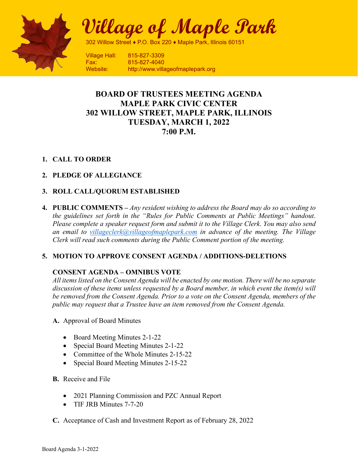

**Village of Maple Park**

302 Willow Street ♦ P.O. Box 220 ♦ Maple Park, Illinois 60151

Village Hall: 815-827-3309 Fax: 815-827-4040 Website: http://www.villageofmaplepark.org

# **BOARD OF TRUSTEES MEETING AGENDA MAPLE PARK CIVIC CENTER 302 WILLOW STREET, MAPLE PARK, ILLINOIS TUESDAY, MARCH 1, 2022 7:00 P.M.**

## **1. CALL TO ORDER**

## **2. PLEDGE OF ALLEGIANCE**

## **3. ROLL CALL/QUORUM ESTABLISHED**

**4. PUBLIC COMMENTS –** *Any resident wishing to address the Board may do so according to the guidelines set forth in the "Rules for Public Comments at Public Meetings" handout*. *Please complete a speaker request form and submit it to the Village Clerk. You may also send an email to [villageclerk@villageofmaplepark.com](mailto:villageclerk@villageofmaplepark.com) in advance of the meeting. The Village Clerk will read such comments during the Public Comment portion of the meeting.*

### **5. MOTION TO APPROVE CONSENT AGENDA / ADDITIONS-DELETIONS**

### **CONSENT AGENDA – OMNIBUS VOTE**

*All items listed on the Consent Agenda will be enacted by one motion. There will be no separate discussion of these items unless requested by a Board member, in which event the item(s) will be removed from the Consent Agenda. Prior to a vote on the Consent Agenda, members of the public may request that a Trustee have an item removed from the Consent Agenda.*

- **A.** Approval of Board Minutes
	- Board Meeting Minutes 2-1-22
	- Special Board Meeting Minutes 2-1-22
	- Committee of the Whole Minutes 2-15-22
	- Special Board Meeting Minutes 2-15-22
- **B.** Receive and File
	- 2021 Planning Commission and PZC Annual Report
	- TIF JRB Minutes 7-7-20
- **C.** Acceptance of Cash and Investment Report as of February 28, 2022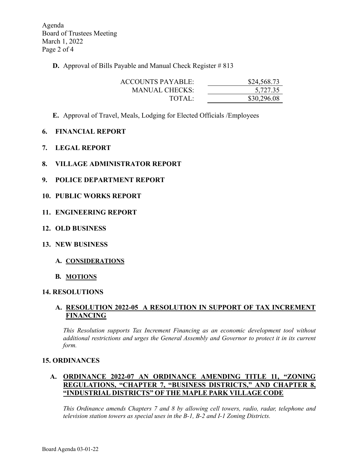Agenda Board of Trustees Meeting March 1, 2022 Page 2 of 4

**D.** Approval of Bills Payable and Manual Check Register # 813

| ACCOUNTS PAYABLE: | \$24,568.73 |
|-------------------|-------------|
| MANUAL CHECKS:    | 5,727.35    |
| TOTAI:            | \$30,296.08 |

- **E.** Approval of Travel, Meals, Lodging for Elected Officials /Employees
- **6. FINANCIAL REPORT**
- **7. LEGAL REPORT**
- **8. VILLAGE ADMINISTRATOR REPORT**
- **9. POLICE DEPARTMENT REPORT**
- **10. PUBLIC WORKS REPORT**
- **11. ENGINEERING REPORT**
- **12. OLD BUSINESS**
- **13. NEW BUSINESS**
	- **A. CONSIDERATIONS**
	- **B. MOTIONS**

#### **14. RESOLUTIONS**

#### **A. RESOLUTION 2022-05 A RESOLUTION IN SUPPORT OF TAX INCREMENT FINANCING**

*This Resolution supports Tax Increment Financing as an economic development tool without additional restrictions and urges the General Assembly and Governor to protect it in its current form.*

#### **15. ORDINANCES**

#### **A. ORDINANCE 2022-07 AN ORDINANCE AMENDING TITLE 11, "ZONING REGULATIONS, "CHAPTER 7, "BUSINESS DISTRICTS," AND CHAPTER 8, "INDUSTRIAL DISTRICTS" OF THE MAPLE PARK VILLAGE CODE**

*This Ordinance amends Chapters 7 and 8 by allowing cell towers, radio, radar, telephone and television station towers as special uses in the B-1, B-2 and I-1 Zoning Districts.*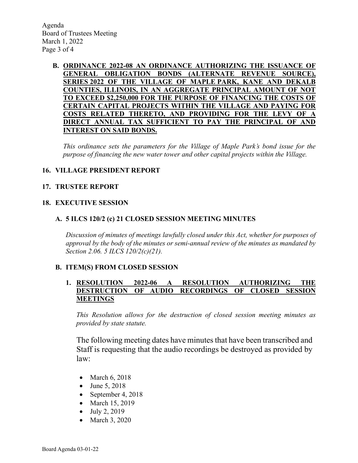Agenda Board of Trustees Meeting March 1, 2022 Page 3 of 4

#### **B. ORDINANCE 2022-08 AN ORDINANCE AUTHORIZING THE ISSUANCE OF GENERAL OBLIGATION BONDS (ALTERNATE REVENUE SOURCE), SERIES 2022 OF THE VILLAGE OF MAPLE PARK, KANE AND DEKALB COUNTIES, ILLINOIS, IN AN AGGREGATE PRINCIPAL AMOUNT OF NOT TO EXCEED \$2,250,000 FOR THE PURPOSE OF FINANCING THE COSTS OF CERTAIN CAPITAL PROJECTS WITHIN THE VILLAGE AND PAYING FOR COSTS RELATED THERETO, AND PROVIDING FOR THE LEVY OF A DIRECT ANNUAL TAX SUFFICIENT TO PAY THE PRINCIPAL OF AND INTEREST ON SAID BONDS.**

*This ordinance sets the parameters for the Village of Maple Park's bond issue for the purpose of financing the new water tower and other capital projects within the Village.*

### **16. VILLAGE PRESIDENT REPORT**

#### **17. TRUSTEE REPORT**

#### **18. EXECUTIVE SESSION**

#### **A. 5 ILCS 120/2 (c) 21 CLOSED SESSION MEETING MINUTES**

*Discussion of minutes of meetings lawfully closed under this Act, whether for purposes of approval by the body of the minutes or semi-annual review of the minutes as mandated by Section 2.06. 5 ILCS 120/2(c)(21).*

#### **B. ITEM(S) FROM CLOSED SESSION**

### **1. RESOLUTION 2022-06 A RESOLUTION AUTHORIZING THE DESTRUCTION OF AUDIO RECORDINGS OF CLOSED SESSION MEETINGS**

*This Resolution allows for the destruction of closed session meeting minutes as provided by state statute.*

The following meeting dates have minutes that have been transcribed and Staff is requesting that the audio recordings be destroyed as provided by law:

- March 6, 2018
- June 5, 2018
- September 4, 2018
- March 15, 2019
- July 2, 2019
- March 3, 2020